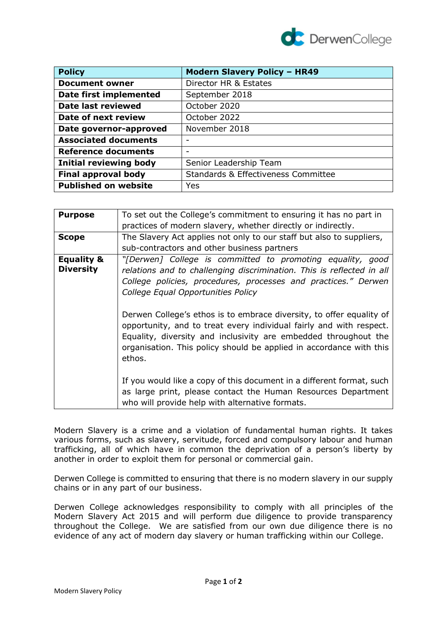

| <b>Policy</b>                 | <b>Modern Slavery Policy - HR49</b> |
|-------------------------------|-------------------------------------|
| <b>Document owner</b>         | Director HR & Estates               |
| <b>Date first implemented</b> | September 2018                      |
| <b>Date last reviewed</b>     | October 2020                        |
| Date of next review           | October 2022                        |
| Date governor-approved        | November 2018                       |
| <b>Associated documents</b>   |                                     |
| <b>Reference documents</b>    |                                     |
| <b>Initial reviewing body</b> | Senior Leadership Team              |
| <b>Final approval body</b>    | Standards & Effectiveness Committee |
| <b>Published on website</b>   | Yes                                 |

| <b>Purpose</b>                            | To set out the College's commitment to ensuring it has no part in                                                                                                                                                                                                                               |
|-------------------------------------------|-------------------------------------------------------------------------------------------------------------------------------------------------------------------------------------------------------------------------------------------------------------------------------------------------|
|                                           | practices of modern slavery, whether directly or indirectly.                                                                                                                                                                                                                                    |
| <b>Scope</b>                              | The Slavery Act applies not only to our staff but also to suppliers,                                                                                                                                                                                                                            |
|                                           | sub-contractors and other business partners                                                                                                                                                                                                                                                     |
| <b>Equality &amp;</b><br><b>Diversity</b> | "[Derwen] College is committed to promoting equality, good<br>relations and to challenging discrimination. This is reflected in all<br>College policies, procedures, processes and practices." Derwen<br>College Equal Opportunities Policy                                                     |
|                                           | Derwen College's ethos is to embrace diversity, to offer equality of<br>opportunity, and to treat every individual fairly and with respect.<br>Equality, diversity and inclusivity are embedded throughout the<br>organisation. This policy should be applied in accordance with this<br>ethos. |
|                                           | If you would like a copy of this document in a different format, such<br>as large print, please contact the Human Resources Department<br>who will provide help with alternative formats.                                                                                                       |

Modern Slavery is a crime and a violation of fundamental human rights. It takes various forms, such as slavery, servitude, forced and compulsory labour and human trafficking, all of which have in common the deprivation of a person's liberty by another in order to exploit them for personal or commercial gain.

Derwen College is committed to ensuring that there is no modern slavery in our supply chains or in any part of our business.

Derwen College acknowledges responsibility to comply with all principles of the Modern Slavery Act 2015 and will perform due diligence to provide transparency throughout the College. We are satisfied from our own due diligence there is no evidence of any act of modern day slavery or human trafficking within our College.